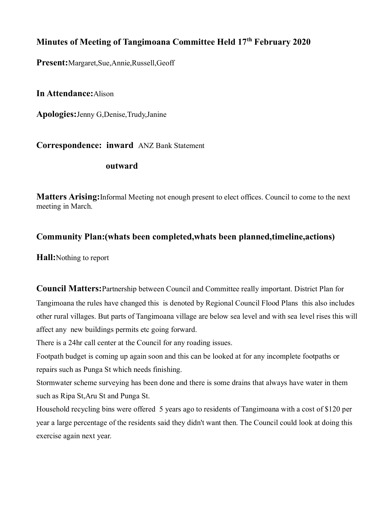# **Minutes of Meeting of Tangimoana Committee Held 17th February 2020**

**Present:**Margaret,Sue,Annie,Russell,Geoff

**In Attendance:**Alison

**Apologies:**Jenny G,Denise,Trudy,Janine

**Correspondence: inward** ANZ Bank Statement

### **outward**

**Matters Arising:**Informal Meeting not enough present to elect offices. Council to come to the next meeting in March.

### **Community Plan:(whats been completed,whats been planned,timeline,actions)**

**Hall:**Nothing to report

**Council Matters:**Partnership between Council and Committee really important. District Plan for Tangimoana the rules have changed this is denoted by Regional Council Flood Plans this also includes other rural villages. But parts of Tangimoana village are below sea level and with sea level rises this will affect any new buildings permits etc going forward.

There is a 24hr call center at the Council for any roading issues.

Footpath budget is coming up again soon and this can be looked at for any incomplete footpaths or repairs such as Punga St which needs finishing.

Stormwater scheme surveying has been done and there is some drains that always have water in them such as Ripa St,Aru St and Punga St.

Household recycling bins were offered 5 years ago to residents of Tangimoana with a cost of \$120 per year a large percentage of the residents said they didn't want then. The Council could look at doing this exercise again next year.